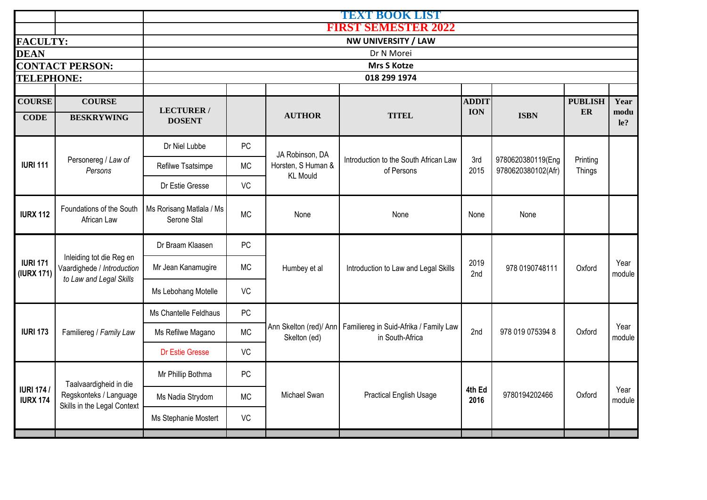|                                     |                                                                                   |                                         | TEXT BOOK LIST             |                                        |                                                           |                |                                         |                    |                |  |  |  |
|-------------------------------------|-----------------------------------------------------------------------------------|-----------------------------------------|----------------------------|----------------------------------------|-----------------------------------------------------------|----------------|-----------------------------------------|--------------------|----------------|--|--|--|
|                                     |                                                                                   |                                         | <b>FIRST SEMESTER 2022</b> |                                        |                                                           |                |                                         |                    |                |  |  |  |
| <b>FACULTY:</b>                     |                                                                                   | NW UNIVERSITY / LAW                     |                            |                                        |                                                           |                |                                         |                    |                |  |  |  |
| <b>DEAN</b>                         |                                                                                   | Dr N Morei                              |                            |                                        |                                                           |                |                                         |                    |                |  |  |  |
|                                     | <b>CONTACT PERSON:</b>                                                            |                                         |                            |                                        | <b>Mrs S Kotze</b>                                        |                |                                         |                    |                |  |  |  |
| <b>TELEPHONE:</b>                   |                                                                                   |                                         |                            |                                        | 018 299 1974                                              |                |                                         |                    |                |  |  |  |
| <b>COURSE</b>                       | <b>COURSE</b>                                                                     |                                         |                            |                                        |                                                           | <b>ADDIT</b>   |                                         | <b>PUBLISH</b>     | Year           |  |  |  |
| <b>CODE</b>                         | <b>BESKRYWING</b>                                                                 | <b>LECTURER/</b><br><b>DOSENT</b>       |                            | <b>AUTHOR</b>                          | <b>TITEL</b>                                              | <b>ION</b>     | <b>ISBN</b>                             | ER                 | modu<br>le?    |  |  |  |
|                                     |                                                                                   | Dr Niel Lubbe                           | PC                         | JA Robinson, DA                        |                                                           |                | 9780620380119(Eng<br>9780620380102(Afr) |                    |                |  |  |  |
| <b>IURI 111</b>                     | Personereg / Law of<br>Persons                                                    | Refilwe Tsatsimpe                       | <b>MC</b>                  | Horsten, S Human &<br><b>KL Mould</b>  | Introduction to the South African Law<br>of Persons       | 3rd<br>2015    |                                         | Printing<br>Things |                |  |  |  |
|                                     |                                                                                   | Dr Estie Gresse                         | VC                         |                                        |                                                           |                |                                         |                    |                |  |  |  |
| <b>IURX 112</b>                     | Foundations of the South<br>African Law                                           | Ms Rorisang Matlala / Ms<br>Serone Stal | <b>MC</b>                  | None                                   | None                                                      | None           | None                                    |                    |                |  |  |  |
|                                     | Inleiding tot die Reg en<br>Vaardighede / Introduction<br>to Law and Legal Skills | Dr Braam Klaasen                        | PC                         | Humbey et al                           | Introduction to Law and Legal Skills                      |                | 978 0190748111                          | Oxford             |                |  |  |  |
| <b>IURI 171</b><br>(IURX 171)       |                                                                                   | Mr Jean Kanamugire                      | <b>MC</b>                  |                                        |                                                           | 2019<br>2nd    |                                         |                    | Year<br>module |  |  |  |
|                                     |                                                                                   | Ms Lebohang Motelle                     | VC                         |                                        |                                                           |                |                                         |                    |                |  |  |  |
|                                     |                                                                                   | Ms Chantelle Feldhaus                   | PC                         |                                        |                                                           |                |                                         |                    |                |  |  |  |
| <b>IURI 173</b>                     | Familiereg / Family Law                                                           | Ms Refilwe Magano                       | <b>MC</b>                  | Ann Skelton (red)/ Ann<br>Skelton (ed) | Familiereg in Suid-Afrika / Family Law<br>in South-Africa | 2nd            | 978 019 075394 8                        | Oxford             | Year<br>module |  |  |  |
|                                     |                                                                                   | Dr Estie Gresse                         | VC                         |                                        |                                                           |                |                                         |                    |                |  |  |  |
|                                     | Taalvaardigheid in die                                                            | Mr Phillip Bothma                       | PC                         |                                        | <b>Practical English Usage</b>                            | 4th Ed<br>2016 | 9780194202466                           | Oxford             | Year<br>module |  |  |  |
| <b>IURI 174/</b><br><b>IURX 174</b> | Regskonteks / Language<br>Skills in the Legal Context                             | Ms Nadia Strydom                        | <b>MC</b>                  | Michael Swan                           |                                                           |                |                                         |                    |                |  |  |  |
|                                     |                                                                                   | Ms Stephanie Mostert                    | VC                         |                                        |                                                           |                |                                         |                    |                |  |  |  |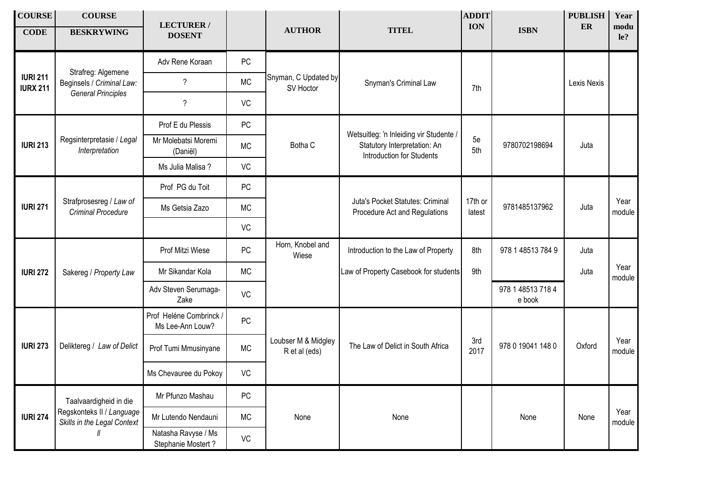| <b>COURSE</b><br><b>CODE</b>       | <b>COURSE</b><br><b>BESKRYWING</b>                       | <b>LECTURER/</b><br><b>DOSENT</b>           |           | <b>AUTHOR</b>                        | <b>TITEL</b>                                                                                                | <b>ADDIT</b><br><b>ION</b> | <b>ISBN</b>                 | <b>PUBLISH</b><br>${\bf E}{\bf R}$ | Year<br>modu<br>le? |
|------------------------------------|----------------------------------------------------------|---------------------------------------------|-----------|--------------------------------------|-------------------------------------------------------------------------------------------------------------|----------------------------|-----------------------------|------------------------------------|---------------------|
|                                    |                                                          | Adv Rene Koraan                             | <b>PC</b> |                                      |                                                                                                             |                            |                             |                                    |                     |
| <b>IURI 211</b><br><b>IURX 211</b> | Strafreg: Algemene<br>Beginsels / Criminal Law:          | $\overline{\phantom{a}}$                    | <b>MC</b> | Snyman, C Updated by<br>SV Hoctor    | Snyman's Criminal Law                                                                                       | 7th                        |                             | Lexis Nexis                        |                     |
|                                    | <b>General Principles</b>                                | $\overline{\phantom{a}}$                    | VC        |                                      |                                                                                                             |                            |                             |                                    |                     |
|                                    |                                                          | Prof E du Plessis                           | PC        | Botha C                              |                                                                                                             |                            |                             |                                    |                     |
| <b>IURI 213</b>                    | Regsinterpretasie / Legal<br>Interpretation              | Mr Molebatsi Moremi<br>(Daniël)             | <b>MC</b> |                                      | Wetsuitleg: 'n Inleiding vir Studente /<br>Statutory Interpretation: An<br><b>Introduction for Students</b> | 5e<br>5th                  | 9780702198694               | Juta                               |                     |
|                                    |                                                          | Ms Julia Malisa ?                           | VC        |                                      |                                                                                                             |                            |                             |                                    |                     |
|                                    |                                                          | Prof PG du Toit                             | PC        |                                      |                                                                                                             |                            |                             |                                    |                     |
| <b>IURI 271</b>                    | Strafprosesreg / Law of<br><b>Criminal Procedure</b>     | Ms Getsia Zazo                              | <b>MC</b> |                                      | Juta's Pocket Statutes: Criminal<br>Procedure Act and Regulations                                           | 17th or<br>latest          | 9781485137962               | Juta                               | Year<br>module      |
|                                    |                                                          |                                             | VC        |                                      |                                                                                                             |                            |                             |                                    |                     |
|                                    |                                                          | Prof Mitzi Wiese                            | PC        | Horn, Knobel and<br>Wiese            | Introduction to the Law of Property                                                                         | 8th                        | 978 1 48513 784 9           | Juta                               |                     |
| <b>IURI 272</b>                    | Sakereg / Property Law                                   | Mr Sikandar Kola                            | <b>MC</b> |                                      | Law of Property Casebook for students                                                                       | 9th                        |                             | Juta                               | Year<br>module      |
|                                    |                                                          | Adv Steven Serumaga-<br>Zake                | VC        |                                      |                                                                                                             |                            | 978 1 48513 718 4<br>e book |                                    |                     |
|                                    |                                                          | Prof Heléne Combrinck /<br>Ms Lee-Ann Louw? | PC        |                                      |                                                                                                             |                            |                             |                                    |                     |
| <b>IURI 273</b>                    | Deliktereg / Law of Delict                               | Prof Tumi Mmusinyane                        | <b>MC</b> | Loubser M & Midgley<br>R et al (eds) | The Law of Delict in South Africa                                                                           | 3rd<br>2017                | 978 0 19041 148 0           | Oxford                             | Year<br>module      |
|                                    |                                                          | Ms Chevauree du Pokoy                       | VC        |                                      |                                                                                                             |                            |                             |                                    |                     |
|                                    | Taalvaardigheid in die                                   | Mr Pfunzo Mashau                            | PC        |                                      |                                                                                                             |                            |                             |                                    |                     |
| <b>IURI 274</b>                    | Regskonteks II / Language<br>Skills in the Legal Context | Mr Lutendo Nendauni                         | <b>MC</b> | None                                 | None                                                                                                        |                            | None                        | None                               | Year<br>module      |
|                                    |                                                          | Natasha Ravyse / Ms<br>Stephanie Mostert?   | VC        |                                      |                                                                                                             |                            |                             |                                    |                     |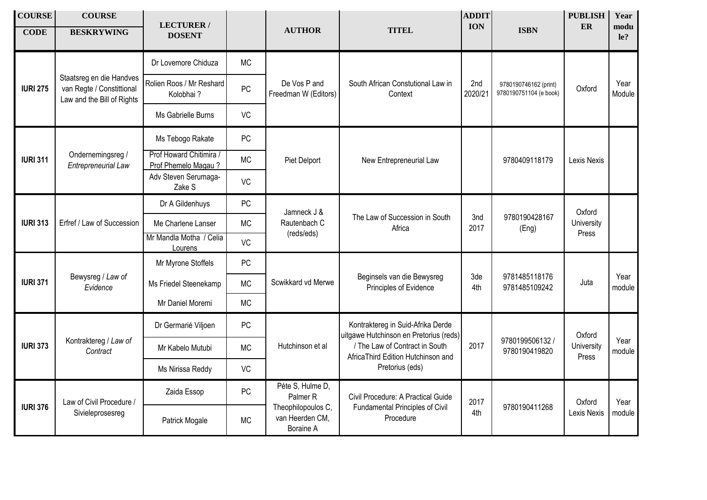| <b>COURSE</b><br><b>CODE</b> | <b>COURSE</b><br><b>BESKRYWING</b>                                                  | <b>LECTURER/</b><br><b>DOSENT</b>              |           | <b>AUTHOR</b>                                      | <b>TITEL</b>                                                                       | <b>ADDIT</b><br><b>ION</b> | <b>ISBN</b>                                     | <b>PUBLISH</b><br>ER  | Year<br>modu<br>$1e$ ? |
|------------------------------|-------------------------------------------------------------------------------------|------------------------------------------------|-----------|----------------------------------------------------|------------------------------------------------------------------------------------|----------------------------|-------------------------------------------------|-----------------------|------------------------|
|                              |                                                                                     | Dr Lovemore Chiduza                            | <b>MC</b> | De Vos P and<br>Freedman W (Editors)               | South African Constutional Law in<br>Context                                       | 2nd<br>2020/21             | 9780190746162 (print)<br>9780190751104 (e book) |                       | Year<br>Module         |
| <b>IURI 275</b>              | Staatsreg en die Handves<br>van Regte / Constittional<br>Law and the Bill of Rights | Rolien Roos / Mr Reshard<br>Kolobhai?          | PC        |                                                    |                                                                                    |                            |                                                 | Oxford                |                        |
|                              |                                                                                     | Ms Gabrielle Burns                             | VC        |                                                    |                                                                                    |                            |                                                 |                       |                        |
| <b>IURI 311</b>              |                                                                                     | Ms Tebogo Rakate                               | PC        |                                                    | New Entrepreneurial Law                                                            |                            |                                                 |                       |                        |
|                              | Ondernemingsreg /<br>Entrepreneurial Law                                            | Prof Howard Chitimira /<br>Prof Phemelo Magau? | <b>MC</b> | Piet Delport                                       |                                                                                    |                            | 9780409118179                                   | Lexis Nexis           |                        |
|                              |                                                                                     | Adv Steven Serumaga-<br>Zake S                 | VC        |                                                    |                                                                                    |                            |                                                 |                       |                        |
| <b>IURI 313</b>              | Erfref / Law of Succession                                                          | Dr A Gildenhuys                                | <b>PC</b> | Jamneck J &<br>Rautenbach C<br>(reds/eds)          | The Law of Succession in South<br>Africa                                           |                            |                                                 | Oxford                |                        |
|                              |                                                                                     | Me Charlene Lanser                             | <b>MC</b> |                                                    |                                                                                    | 3nd<br>2017                | 9780190428167<br>(Eng)                          | University<br>Press   |                        |
|                              |                                                                                     | Mr Mandla Motha / Celia<br>Lourens             | VC        |                                                    |                                                                                    |                            |                                                 |                       |                        |
|                              | Bewysreg / Law of<br>Evidence                                                       | Mr Myrone Stoffels                             | PC        | Scwikkard vd Merwe                                 | Beginsels van die Bewysreg<br>Principles of Evidence                               | 3de<br>4th                 | 9781485118176<br>9781485109242                  | Juta                  | Year<br>module         |
| <b>IURI 371</b>              |                                                                                     | Ms Friedel Steenekamp                          | <b>MC</b> |                                                    |                                                                                    |                            |                                                 |                       |                        |
|                              |                                                                                     | Mr Daniel Moremi                               | <b>MC</b> |                                                    |                                                                                    |                            |                                                 |                       |                        |
|                              |                                                                                     | Dr Germarié Viljoen                            | PC        |                                                    | Kontraktereg in Suid-Afrika Derde<br>uitgawe Hutchinson en Pretorius (reds)        |                            |                                                 | Oxford                | Year<br>module         |
| <b>IURI 373</b>              | Kontraktereg / Law of<br>Contract                                                   | Mr Kabelo Mutubi                               | <b>MC</b> | Hutchinson et al                                   | / The Law of Contract in South<br>AfricaThird Edition Hutchinson and               | 2017                       | 9780199506132 /<br>9780190419820                | University<br>Press   |                        |
|                              |                                                                                     | Ms Nirissa Reddy                               | VC        |                                                    | Pretorius (eds)                                                                    |                            |                                                 |                       |                        |
|                              | Law of Civil Procedure /                                                            | Zaida Essop                                    | PC        | Péte S, Hulme D,<br>Palmer <sub>R</sub>            | Civil Procedure: A Practical Guide<br>Fundamental Principles of Civil<br>Procedure | 2017<br>4th                | 9780190411268                                   | Oxford<br>Lexis Nexis | Year<br>module         |
| <b>IURI 376</b>              | Sivieleprosesreg                                                                    | Patrick Mogale                                 | <b>MC</b> | Theophilopoulos C,<br>van Heerden CM.<br>Boraine A |                                                                                    |                            |                                                 |                       |                        |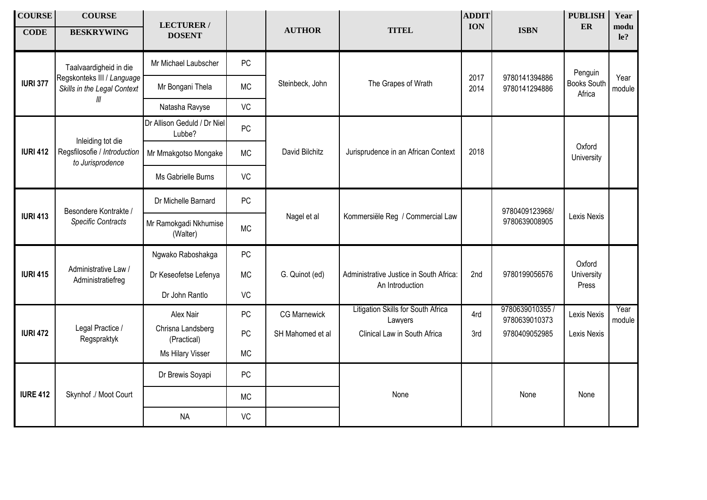| <b>COURSE</b><br><b>CODE</b> | <b>COURSE</b><br><b>BESKRYWING</b>                        | <b>LECTURER/</b><br><b>DOSENT</b>     |           | <b>AUTHOR</b>       | <b>TITEL</b>                                               | <b>ADDIT</b><br><b>ION</b> | <b>ISBN</b>                      | <b>PUBLISH</b><br><b>ER</b>  | Year<br>modu<br>le? |
|------------------------------|-----------------------------------------------------------|---------------------------------------|-----------|---------------------|------------------------------------------------------------|----------------------------|----------------------------------|------------------------------|---------------------|
|                              | Taalvaardigheid in die                                    | Mr Michael Laubscher                  | PC        |                     |                                                            |                            | 9780141394886<br>9780141294886   | Penguin                      |                     |
| <b>IURI 377</b>              | Regskonteks III / Language<br>Skills in the Legal Context | Mr Bongani Thela                      | <b>MC</b> | Steinbeck, John     | The Grapes of Wrath                                        | 2017<br>2014               |                                  | <b>Books South</b><br>Africa | Year<br>module      |
|                              | Ш                                                         | Natasha Ravyse                        | VC        |                     |                                                            |                            |                                  |                              |                     |
|                              | Inleiding tot die                                         | Dr Allison Geduld / Dr Niel<br>Lubbe? | <b>PC</b> |                     |                                                            |                            |                                  |                              |                     |
| <b>IURI 412</b>              | Regsfilosofie / Introduction<br>to Jurisprodence          | Mr Mmakgotso Mongake                  | <b>MC</b> | David Bilchitz      | Jurisprudence in an African Context                        | 2018                       |                                  | Oxford<br>University         |                     |
|                              |                                                           | Ms Gabrielle Burns                    | VC        |                     |                                                            |                            |                                  |                              |                     |
| <b>IURI 413</b>              | Besondere Kontrakte /<br><b>Specific Contracts</b>        | Dr Michelle Barnard                   | PC        | Nagel et al         | Kommersiële Reg / Commercial Law                           |                            | 9780409123968/<br>9780639008905  | Lexis Nexis                  |                     |
|                              |                                                           | Mr Ramokgadi Nkhumise<br>(Walter)     | <b>MC</b> |                     |                                                            |                            |                                  |                              |                     |
|                              | Administrative Law /<br>Administratiefreg                 | Ngwako Raboshakga                     | PC        |                     |                                                            |                            |                                  | Oxford                       |                     |
| <b>IURI 415</b>              |                                                           | Dr Keseofetse Lefenya                 | <b>MC</b> | G. Quinot (ed)      | Administrative Justice in South Africa:<br>An Introduction | 2nd                        | 9780199056576                    | University<br>Press          |                     |
|                              |                                                           | Dr John Rantlo                        | VC        |                     |                                                            |                            |                                  |                              |                     |
|                              |                                                           | Alex Nair                             | PC        | <b>CG Marnewick</b> | Litigation Skills for South Africa<br>Lawyers              | 4rd                        | 9780639010355 /<br>9780639010373 | Lexis Nexis                  | Year<br>module      |
| <b>IURI 472</b>              | Legal Practice /<br>Regspraktyk                           | Chrisna Landsberg<br>(Practical)      | PC        | SH Mahomed et al    | Clinical Law in South Africa                               | 3rd                        | 9780409052985                    | Lexis Nexis                  |                     |
|                              |                                                           | Ms Hilary Visser                      | <b>MC</b> |                     |                                                            |                            |                                  |                              |                     |
|                              |                                                           | Dr Brewis Soyapi                      | <b>PC</b> |                     |                                                            |                            |                                  |                              |                     |
| <b>IURE 412</b>              | Skynhof ./ Moot Court                                     |                                       | <b>MC</b> |                     | None                                                       |                            | None                             | None                         |                     |
|                              |                                                           | <b>NA</b>                             | <b>VC</b> |                     |                                                            |                            |                                  |                              |                     |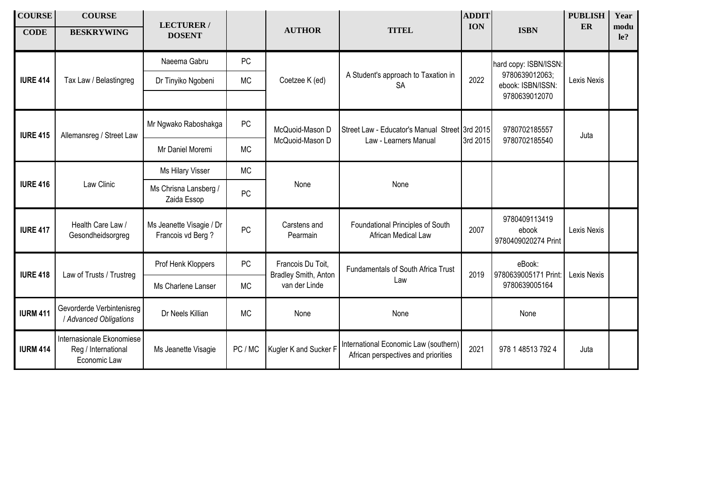| <b>COURSE</b><br><b>CODE</b> | <b>COURSE</b><br><b>BESKRYWING</b>                               | <b>LECTURER/</b><br><b>DOSENT</b>             |           | <b>AUTHOR</b>                                              | <b>TITEL</b>                                                                 | <b>ADDIT</b><br><b>ION</b> | <b>ISBN</b>                                                                   | <b>PUBLISH</b><br><b>ER</b> | Year<br>modu<br>le? |
|------------------------------|------------------------------------------------------------------|-----------------------------------------------|-----------|------------------------------------------------------------|------------------------------------------------------------------------------|----------------------------|-------------------------------------------------------------------------------|-----------------------------|---------------------|
|                              |                                                                  | Naeema Gabru                                  | <b>PC</b> |                                                            | A Student's approach to Taxation in<br><b>SA</b>                             | 2022                       | hard copy: ISBN/ISSN:<br>9780639012063;<br>ebook: ISBN/ISSN:<br>9780639012070 |                             |                     |
| <b>IURE 414</b>              | Tax Law / Belastingreg                                           | Dr Tinyiko Ngobeni                            | <b>MC</b> | Coetzee K (ed)                                             |                                                                              |                            |                                                                               | Lexis Nexis                 |                     |
| <b>IURE 415</b>              | Allemansreg / Street Law                                         | Mr Ngwako Raboshakga                          | PC        | McQuoid-Mason D<br>McQuoid-Mason D                         | Street Law - Educator's Manual Street 3rd 2015<br>Law - Learners Manual      | 3rd 2015                   | 9780702185557<br>9780702185540                                                | Juta                        |                     |
|                              |                                                                  | Mr Daniel Moremi                              | <b>MC</b> |                                                            |                                                                              |                            |                                                                               |                             |                     |
| <b>IURE 416</b>              | Law Clinic                                                       | Ms Hilary Visser                              | <b>MC</b> | None                                                       | None                                                                         |                            |                                                                               |                             |                     |
|                              |                                                                  | Ms Chrisna Lansberg /<br>Zaida Essop          | <b>PC</b> |                                                            |                                                                              |                            |                                                                               |                             |                     |
| <b>IURE 417</b>              | Health Care Law /<br>Gesondheidsorgreg                           | Ms Jeanette Visagie / Dr<br>Francois vd Berg? | PC        | Carstens and<br>Pearmain                                   | Foundational Principles of South<br>African Medical Law                      | 2007                       | 9780409113419<br>ebook<br>9780409020274 Print                                 | Lexis Nexis                 |                     |
|                              |                                                                  | Prof Henk Kloppers                            | <b>PC</b> | Francois Du Toit,<br>Bradley Smith, Anton<br>van der Linde | Fundamentals of South Africa Trust<br>Law                                    | 2019                       | eBook:<br>9780639005171 Print:<br>9780639005164                               |                             |                     |
| <b>IURE 418</b>              | Law of Trusts / Trustreg                                         | Ms Charlene Lanser                            | <b>MC</b> |                                                            |                                                                              |                            |                                                                               | Lexis Nexis                 |                     |
| <b>IURM 411</b>              | Gevorderde Verbintenisreg<br>/ Advanced Obligations              | Dr Neels Killian                              | <b>MC</b> | None                                                       | None                                                                         |                            | None                                                                          |                             |                     |
| <b>IURM 414</b>              | Internasionale Ekonomiese<br>Reg / International<br>Economic Law | Ms Jeanette Visagie                           | PC / MC   | Kugler K and Sucker F                                      | International Economic Law (southern)<br>African perspectives and priorities | 2021                       | 978 1 48513 792 4                                                             | Juta                        |                     |